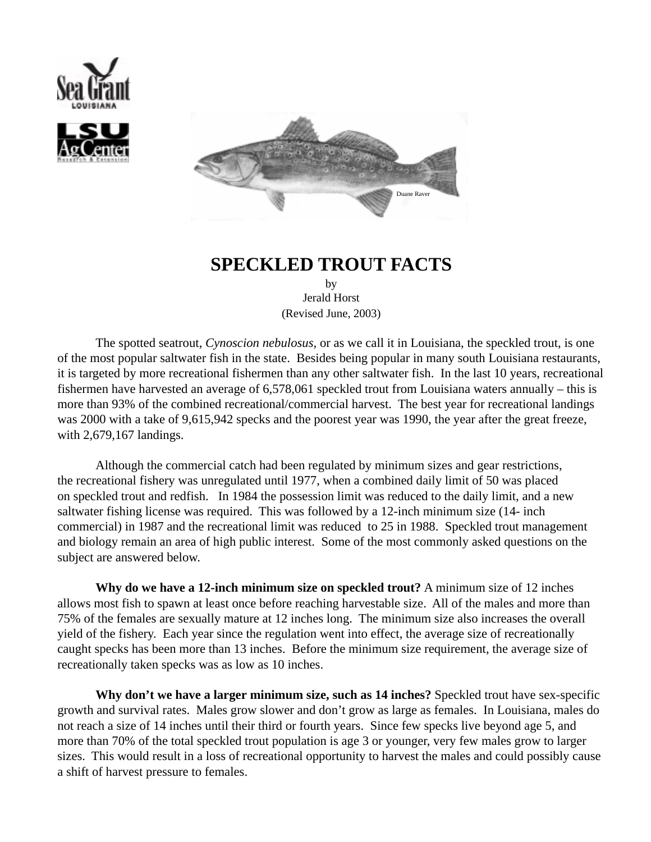





## **SPECKLED TROUT FACTS**

by Jerald Horst (Revised June, 2003)

The spotted seatrout, *Cynoscion nebulosus,* or as we call it in Louisiana, the speckled trout, is one of the most popular saltwater fish in the state. Besides being popular in many south Louisiana restaurants, it is targeted by more recreational fishermen than any other saltwater fish. In the last 10 years, recreational fishermen have harvested an average of 6,578,061 speckled trout from Louisiana waters annually – this is more than 93% of the combined recreational/commercial harvest. The best year for recreational landings was 2000 with a take of 9,615,942 specks and the poorest year was 1990, the year after the great freeze, with 2,679,167 landings.

Although the commercial catch had been regulated by minimum sizes and gear restrictions, the recreational fishery was unregulated until 1977, when a combined daily limit of 50 was placed on speckled trout and redfish. In 1984 the possession limit was reduced to the daily limit, and a new saltwater fishing license was required. This was followed by a 12-inch minimum size (14- inch commercial) in 1987 and the recreational limit was reduced to 25 in 1988. Speckled trout management and biology remain an area of high public interest. Some of the most commonly asked questions on the subject are answered below.

**Why do we have a 12-inch minimum size on speckled trout?** A minimum size of 12 inches allows most fish to spawn at least once before reaching harvestable size. All of the males and more than 75% of the females are sexually mature at 12 inches long. The minimum size also increases the overall yield of the fishery. Each year since the regulation went into effect, the average size of recreationally caught specks has been more than 13 inches. Before the minimum size requirement, the average size of recreationally taken specks was as low as 10 inches.

**Why don't we have a larger minimum size, such as 14 inches?** Speckled trout have sex-specific growth and survival rates. Males grow slower and don't grow as large as females. In Louisiana, males do not reach a size of 14 inches until their third or fourth years. Since few specks live beyond age 5, and more than 70% of the total speckled trout population is age 3 or younger, very few males grow to larger sizes. This would result in a loss of recreational opportunity to harvest the males and could possibly cause a shift of harvest pressure to females.